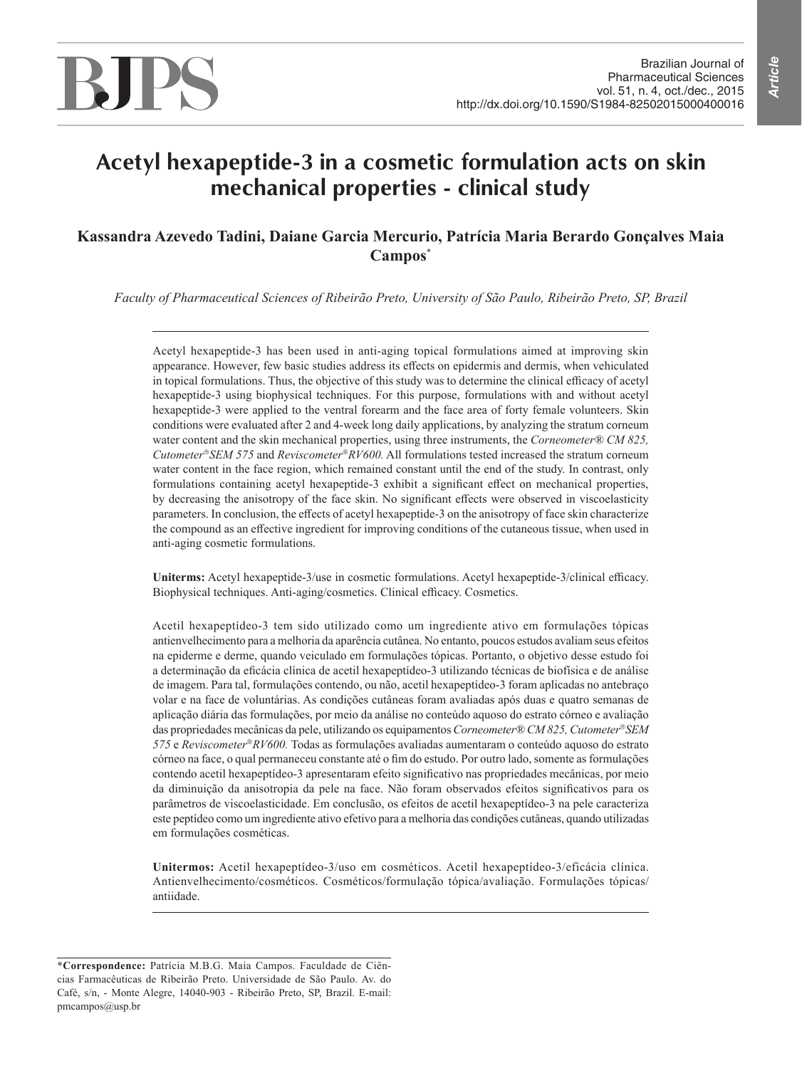# **Acetyl hexapeptide-3 in a cosmetic formulation acts on skin mechanical properties - clinical study**

# **Kassandra Azevedo Tadini, Daiane Garcia Mercurio, Patrícia Maria Berardo Gonçalves Maia Campos\***

*Faculty of Pharmaceutical Sciences of Ribeirão Preto, University of São Paulo, Ribeirão Preto, SP, Brazil*

Acetyl hexapeptide-3 has been used in anti-aging topical formulations aimed at improving skin appearance. However, few basic studies address its effects on epidermis and dermis, when vehiculated in topical formulations. Thus, the objective of this study was to determine the clinical efficacy of acetyl hexapeptide-3 using biophysical techniques. For this purpose, formulations with and without acetyl hexapeptide-3 were applied to the ventral forearm and the face area of forty female volunteers. Skin conditions were evaluated after 2 and 4-week long daily applications, by analyzing the stratum corneum water content and the skin mechanical properties, using three instruments, the *Corneometer® CM 825, CutometerSEM 575* and *ReviscometerRV600.* All formulations tested increased the stratum corneum water content in the face region, which remained constant until the end of the study. In contrast, only formulations containing acetyl hexapeptide-3 exhibit a significant effect on mechanical properties, by decreasing the anisotropy of the face skin. No significant effects were observed in viscoelasticity parameters. In conclusion, the effects of acetyl hexapeptide-3 on the anisotropy of face skin characterize the compound as an effective ingredient for improving conditions of the cutaneous tissue, when used in anti-aging cosmetic formulations.

**Uniterms:** Acetyl hexapeptide-3/use in cosmetic formulations. Acetyl hexapeptide-3/clinical efficacy. Biophysical techniques. Anti-aging/cosmetics. Clinical efficacy. Cosmetics.

Acetil hexapeptídeo-3 tem sido utilizado como um ingrediente ativo em formulações tópicas antienvelhecimento para a melhoria da aparência cutânea. No entanto, poucos estudos avaliam seus efeitos na epiderme e derme, quando veiculado em formulações tópicas. Portanto, o objetivo desse estudo foi a determinação da eficácia clínica de acetil hexapeptídeo-3 utilizando técnicas de biofísica e de análise de imagem. Para tal, formulações contendo, ou não, acetil hexapeptídeo-3 foram aplicadas no antebraço volar e na face de voluntárias. As condições cutâneas foram avaliadas após duas e quatro semanas de aplicação diária das formulações, por meio da análise no conteúdo aquoso do estrato córneo e avaliação das propriedades mecânicas da pele, utilizando os equipamentos *Corneometer® CM 825, CutometerSEM 575* e *ReviscometerRV600.* Todas as formulações avaliadas aumentaram o conteúdo aquoso do estrato córneo na face, o qual permaneceu constante até o fim do estudo. Por outro lado, somente as formulações contendo acetil hexapeptídeo-3 apresentaram efeito significativo nas propriedades mecânicas, por meio da diminuição da anisotropia da pele na face. Não foram observados efeitos significativos para os parâmetros de viscoelasticidade. Em conclusão, os efeitos de acetil hexapeptídeo-3 na pele caracteriza este peptídeo como um ingrediente ativo efetivo para a melhoria das condições cutâneas, quando utilizadas em formulações cosméticas.

**Unitermos:** Acetil hexapeptídeo-3/uso em cosméticos. Acetil hexapeptídeo-3/eficácia clínica. Antienvelhecimento/cosméticos. Cosméticos/formulação tópica/avaliação. Formulações tópicas/ antiidade.

<sup>\*</sup>**Correspondence:** Patrícia M.B.G. Maia Campos. Faculdade de Ciências Farmacêuticas de Ribeirão Preto. Universidade de São Paulo. Av. do Café, s/n, - Monte Alegre, 14040-903 - Ribeirão Preto, SP, Brazil. E-mail: pmcampos@usp.br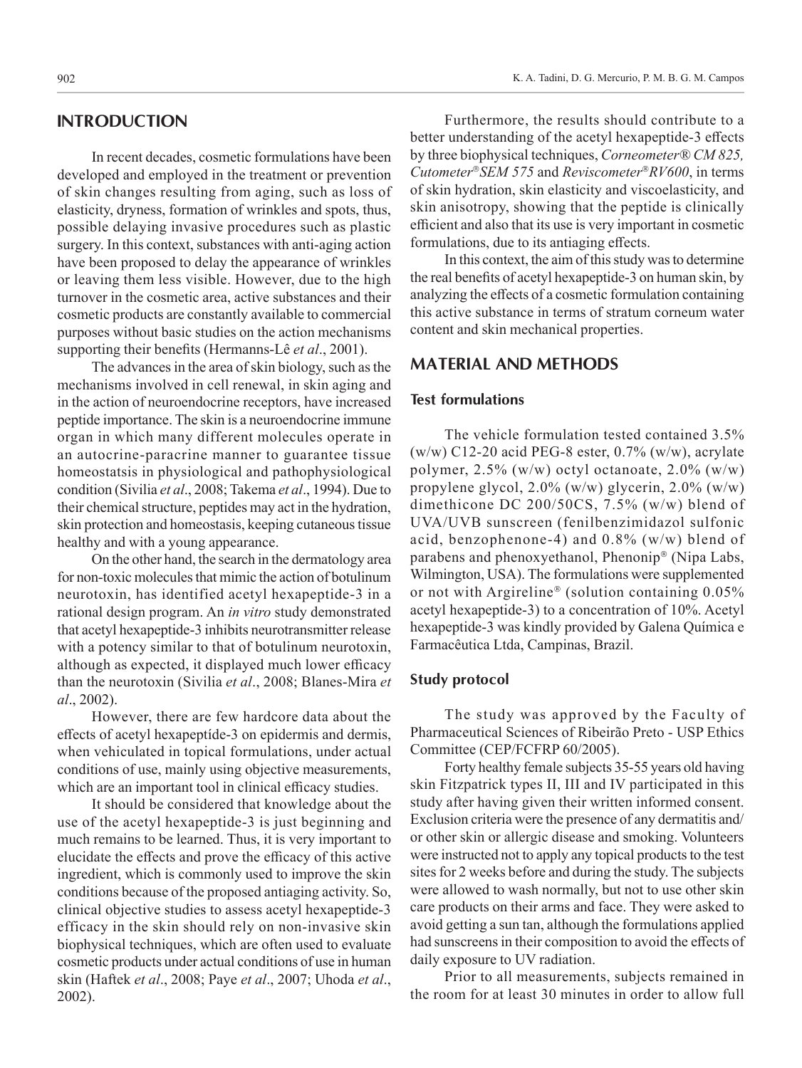# **INTRODUCTION**

In recent decades, cosmetic formulations have been developed and employed in the treatment or prevention of skin changes resulting from aging, such as loss of elasticity, dryness, formation of wrinkles and spots, thus, possible delaying invasive procedures such as plastic surgery. In this context, substances with anti-aging action have been proposed to delay the appearance of wrinkles or leaving them less visible. However, due to the high turnover in the cosmetic area, active substances and their cosmetic products are constantly available to commercial purposes without basic studies on the action mechanisms supporting their benefits (Hermanns-Lê *et al*., 2001).

The advances in the area of skin biology, such as the mechanisms involved in cell renewal, in skin aging and in the action of neuroendocrine receptors, have increased peptide importance. The skin is a neuroendocrine immune organ in which many different molecules operate in an autocrine-paracrine manner to guarantee tissue homeostatsis in physiological and pathophysiological condition (Sivilia *et al*., 2008; Takema *et al*., 1994). Due to their chemical structure, peptides may act in the hydration, skin protection and homeostasis, keeping cutaneous tissue healthy and with a young appearance.

On the other hand, the search in the dermatology area for non-toxic molecules that mimic the action of botulinum neurotoxin, has identified acetyl hexapeptide-3 in a rational design program. An *in vitro* study demonstrated that acetyl hexapeptide-3 inhibits neurotransmitter release with a potency similar to that of botulinum neurotoxin, although as expected, it displayed much lower efficacy than the neurotoxin (Sivilia *et al*., 2008; Blanes-Mira *et al*., 2002).

However, there are few hardcore data about the effects of acetyl hexapeptíde-3 on epidermis and dermis, when vehiculated in topical formulations, under actual conditions of use, mainly using objective measurements, which are an important tool in clinical efficacy studies.

It should be considered that knowledge about the use of the acetyl hexapeptide-3 is just beginning and much remains to be learned. Thus, it is very important to elucidate the effects and prove the efficacy of this active ingredient, which is commonly used to improve the skin conditions because of the proposed antiaging activity. So, clinical objective studies to assess acetyl hexapeptide-3 efficacy in the skin should rely on non-invasive skin biophysical techniques, which are often used to evaluate cosmetic products under actual conditions of use in human skin (Haftek *et al*., 2008; Paye *et al*., 2007; Uhoda *et al*., 2002).

Furthermore, the results should contribute to a better understanding of the acetyl hexapeptide-3 effects by three biophysical techniques, *Corneometer® CM 825, CutometerSEM 575* and *ReviscometerRV600*, in terms of skin hydration, skin elasticity and viscoelasticity, and skin anisotropy, showing that the peptide is clinically efficient and also that its use is very important in cosmetic formulations, due to its antiaging effects.

In this context, the aim of this study was to determine the real benefits of acetyl hexapeptide-3 on human skin, by analyzing the effects of a cosmetic formulation containing this active substance in terms of stratum corneum water content and skin mechanical properties.

## **MATERIAL AND METHODS**

#### **Test formulations**

The vehicle formulation tested contained 3.5% (w/w) C12-20 acid PEG-8 ester, 0.7% (w/w), acrylate polymer, 2.5% (w/w) octyl octanoate, 2.0% (w/w) propylene glycol, 2.0% (w/w) glycerin, 2.0% (w/w) dimethicone DC 200/50CS, 7.5% (w/w) blend of UVA/UVB sunscreen (fenilbenzimidazol sulfonic acid, benzophenone-4) and 0.8% (w/w) blend of parabens and phenoxyethanol, Phenonip® (Nipa Labs, Wilmington, USA). The formulations were supplemented or not with Argireline<sup>®</sup> (solution containing  $0.05\%$ acetyl hexapeptide-3) to a concentration of 10%. Acetyl hexapeptide-3 was kindly provided by Galena Química e Farmacêutica Ltda, Campinas, Brazil.

#### **Study protocol**

The study was approved by the Faculty of Pharmaceutical Sciences of Ribeirão Preto - USP Ethics Committee (CEP/FCFRP 60/2005).

Forty healthy female subjects 35-55 years old having skin Fitzpatrick types II, III and IV participated in this study after having given their written informed consent. Exclusion criteria were the presence of any dermatitis and/ or other skin or allergic disease and smoking. Volunteers were instructed not to apply any topical products to the test sites for 2 weeks before and during the study. The subjects were allowed to wash normally, but not to use other skin care products on their arms and face. They were asked to avoid getting a sun tan, although the formulations applied had sunscreens in their composition to avoid the effects of daily exposure to UV radiation.

Prior to all measurements, subjects remained in the room for at least 30 minutes in order to allow full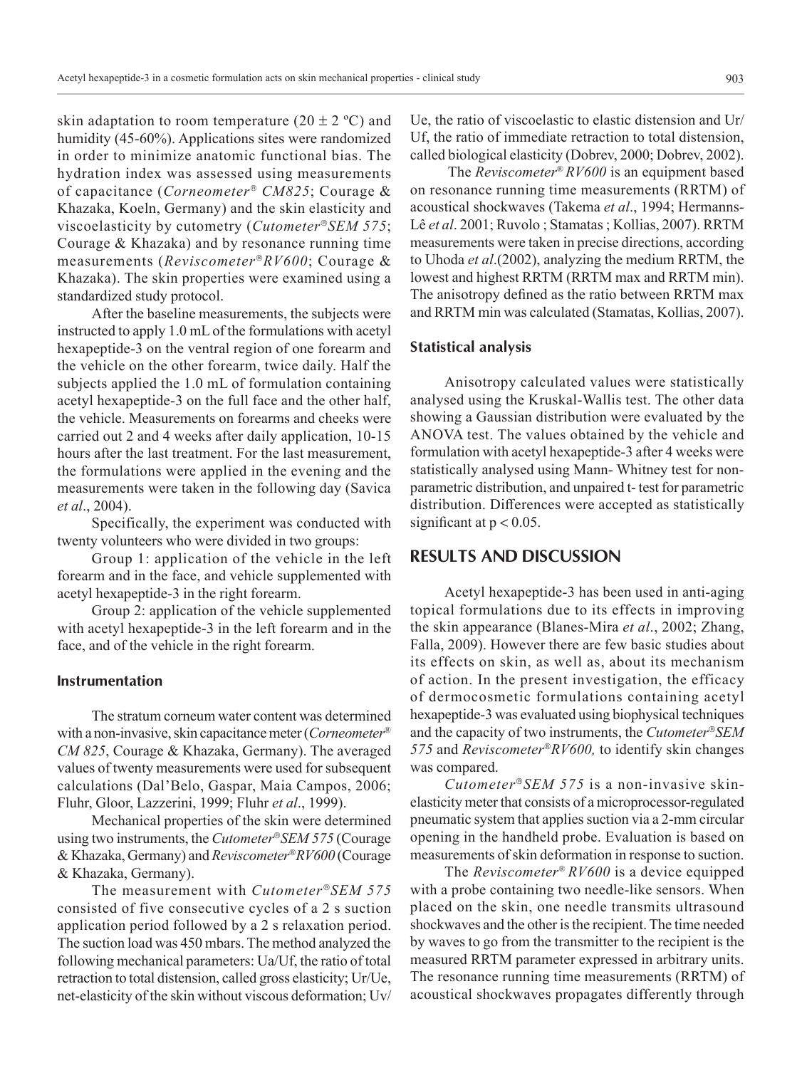skin adaptation to room temperature  $(20 \pm 2 \degree C)$  and humidity (45-60%). Applications sites were randomized in order to minimize anatomic functional bias. The hydration index was assessed using measurements of capacitance (*Corneometer*<sup>®</sup> CM825; Courage & Khazaka, Koeln, Germany) and the skin elasticity and viscoelasticity by cutometry (*CutometerSEM 575*; Courage & Khazaka) and by resonance running time measurements (*ReviscometerRV600*; Courage & Khazaka). The skin properties were examined using a standardized study protocol.

After the baseline measurements, the subjects were instructed to apply 1.0 mL of the formulations with acetyl hexapeptide-3 on the ventral region of one forearm and the vehicle on the other forearm, twice daily. Half the subjects applied the 1.0 mL of formulation containing acetyl hexapeptide-3 on the full face and the other half, the vehicle. Measurements on forearms and cheeks were carried out 2 and 4 weeks after daily application, 10-15 hours after the last treatment. For the last measurement, the formulations were applied in the evening and the measurements were taken in the following day (Savica *et al*., 2004).

Specifically, the experiment was conducted with twenty volunteers who were divided in two groups:

Group 1: application of the vehicle in the left forearm and in the face, and vehicle supplemented with acetyl hexapeptide-3 in the right forearm.

Group 2: application of the vehicle supplemented with acetyl hexapeptide-3 in the left forearm and in the face, and of the vehicle in the right forearm.

#### **Instrumentation**

The stratum corneum water content was determined with a non-invasive, skin capacitance meter (*Corneometer*® *CM 825*, Courage & Khazaka, Germany). The averaged values of twenty measurements were used for subsequent calculations (Dal'Belo, Gaspar, Maia Campos, 2006; Fluhr, Gloor, Lazzerini, 1999; Fluhr *et al*., 1999).

Mechanical properties of the skin were determined using two instruments, the *CutometerSEM 575* (Courage & Khazaka, Germany) and *ReviscometerRV600* (Courage & Khazaka, Germany).

The measurement with *CutometerSEM 575* consisted of five consecutive cycles of a 2 s suction application period followed by a 2 s relaxation period. The suction load was 450 mbars. The method analyzed the following mechanical parameters: Ua/Uf, the ratio of total retraction to total distension, called gross elasticity; Ur/Ue, net-elasticity of the skin without viscous deformation; Uv/ Ue, the ratio of viscoelastic to elastic distension and Ur/ Uf, the ratio of immediate retraction to total distension, called biological elasticity (Dobrev, 2000; Dobrev, 2002).

 The *Reviscometer*® *RV600* is an equipment based on resonance running time measurements (RRTM) of acoustical shockwaves (Takema *et al*., 1994; Hermanns-Lê *et al*. 2001; Ruvolo ; Stamatas ; Kollias, 2007). RRTM measurements were taken in precise directions, according to Uhoda *et al*.(2002), analyzing the medium RRTM, the lowest and highest RRTM (RRTM max and RRTM min). The anisotropy defined as the ratio between RRTM max and RRTM min was calculated (Stamatas, Kollias, 2007).

#### **Statistical analysis**

Anisotropy calculated values were statistically analysed using the Kruskal-Wallis test. The other data showing a Gaussian distribution were evaluated by the ANOVA test. The values obtained by the vehicle and formulation with acetyl hexapeptide-3 after 4 weeks were statistically analysed using Mann- Whitney test for nonparametric distribution, and unpaired t- test for parametric distribution. Differences were accepted as statistically significant at  $p < 0.05$ .

## **RESULTS AND DISCUSSION**

Acetyl hexapeptide-3 has been used in anti-aging topical formulations due to its effects in improving the skin appearance (Blanes-Mira *et al*., 2002; Zhang, Falla, 2009). However there are few basic studies about its effects on skin, as well as, about its mechanism of action. In the present investigation, the efficacy of dermocosmetic formulations containing acetyl hexapeptide-3 was evaluated using biophysical techniques and the capacity of two instruments, the *CutometerSEM 575* and *ReviscometerRV600,* to identify skin changes was compared.

*CutometerSEM 575* is a non-invasive skinelasticity meter that consists of a microprocessor-regulated pneumatic system that applies suction via a 2-mm circular opening in the handheld probe. Evaluation is based on measurements of skin deformation in response to suction.

The *Reviscometer*® *RV600* is a device equipped with a probe containing two needle-like sensors. When placed on the skin, one needle transmits ultrasound shockwaves and the other is the recipient. The time needed by waves to go from the transmitter to the recipient is the measured RRTM parameter expressed in arbitrary units. The resonance running time measurements (RRTM) of acoustical shockwaves propagates differently through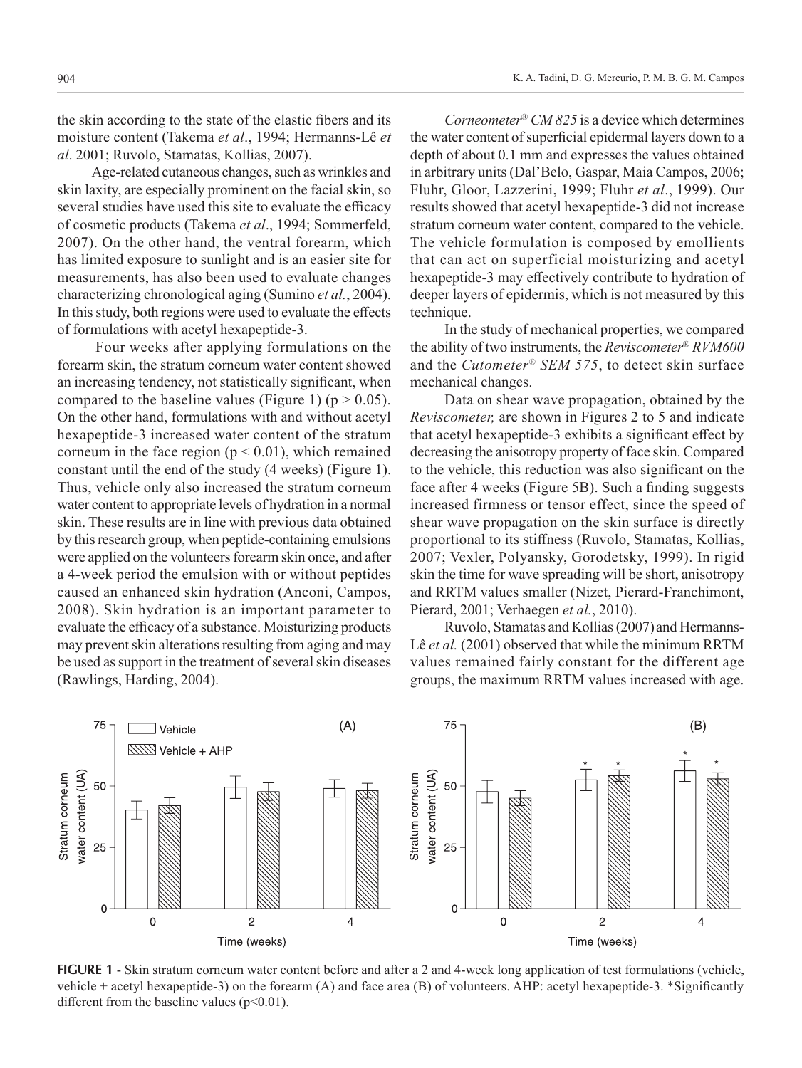the skin according to the state of the elastic fibers and its moisture content (Takema *et al*., 1994; Hermanns-Lê *et al*. 2001; Ruvolo, Stamatas, Kollias, 2007).

Age-related cutaneous changes, such as wrinkles and skin laxity, are especially prominent on the facial skin, so several studies have used this site to evaluate the efficacy of cosmetic products (Takema *et al*., 1994; Sommerfeld, 2007). On the other hand, the ventral forearm, which has limited exposure to sunlight and is an easier site for measurements, has also been used to evaluate changes characterizing chronological aging (Sumino *et al.*, 2004). In this study, both regions were used to evaluate the effects of formulations with acetyl hexapeptide-3.

 Four weeks after applying formulations on the forearm skin, the stratum corneum water content showed an increasing tendency, not statistically significant, when compared to the baseline values (Figure 1) ( $p > 0.05$ ). On the other hand, formulations with and without acetyl hexapeptide-3 increased water content of the stratum corneum in the face region ( $p < 0.01$ ), which remained constant until the end of the study (4 weeks) (Figure 1). Thus, vehicle only also increased the stratum corneum water content to appropriate levels of hydration in a normal skin. These results are in line with previous data obtained by this research group, when peptide-containing emulsions were applied on the volunteers forearm skin once, and after a 4-week period the emulsion with or without peptides caused an enhanced skin hydration (Anconi, Campos, 2008). Skin hydration is an important parameter to evaluate the efficacy of a substance. Moisturizing products may prevent skin alterations resulting from aging and may be used as support in the treatment of several skin diseases (Rawlings, Harding, 2004).

*Corneometer*® *CM 825* is a device which determines the water content of superficial epidermal layers down to a depth of about 0.1 mm and expresses the values obtained in arbitrary units (Dal'Belo, Gaspar, Maia Campos, 2006; Fluhr, Gloor, Lazzerini, 1999; Fluhr *et al*., 1999). Our results showed that acetyl hexapeptide-3 did not increase stratum corneum water content, compared to the vehicle. The vehicle formulation is composed by emollients that can act on superficial moisturizing and acetyl hexapeptide-3 may effectively contribute to hydration of deeper layers of epidermis, which is not measured by this technique.

In the study of mechanical properties, we compared the ability of two instruments, the *Reviscometer*® *RVM600* and the *Cutometer*® *SEM 575*, to detect skin surface mechanical changes.

Data on shear wave propagation, obtained by the *Reviscometer,* are shown in Figures 2 to 5 and indicate that acetyl hexapeptide-3 exhibits a significant effect by decreasing the anisotropy property of face skin. Compared to the vehicle, this reduction was also significant on the face after 4 weeks (Figure 5B). Such a finding suggests increased firmness or tensor effect, since the speed of shear wave propagation on the skin surface is directly proportional to its stiffness (Ruvolo, Stamatas, Kollias, 2007; Vexler, Polyansky, Gorodetsky, 1999). In rigid skin the time for wave spreading will be short, anisotropy and RRTM values smaller (Nizet, Pierard-Franchimont, Pierard, 2001; Verhaegen *et al.*, 2010).

Ruvolo, Stamatas and Kollias (2007) and Hermanns-Lê *et al.* (2001) observed that while the minimum RRTM values remained fairly constant for the different age groups, the maximum RRTM values increased with age.



**FIGURE 1** - Skin stratum corneum water content before and after a 2 and 4-week long application of test formulations (vehicle, vehicle + acetyl hexapeptide-3) on the forearm (A) and face area (B) of volunteers. AHP: acetyl hexapeptide-3. \*Significantly different from the baseline values  $(p<0.01)$ .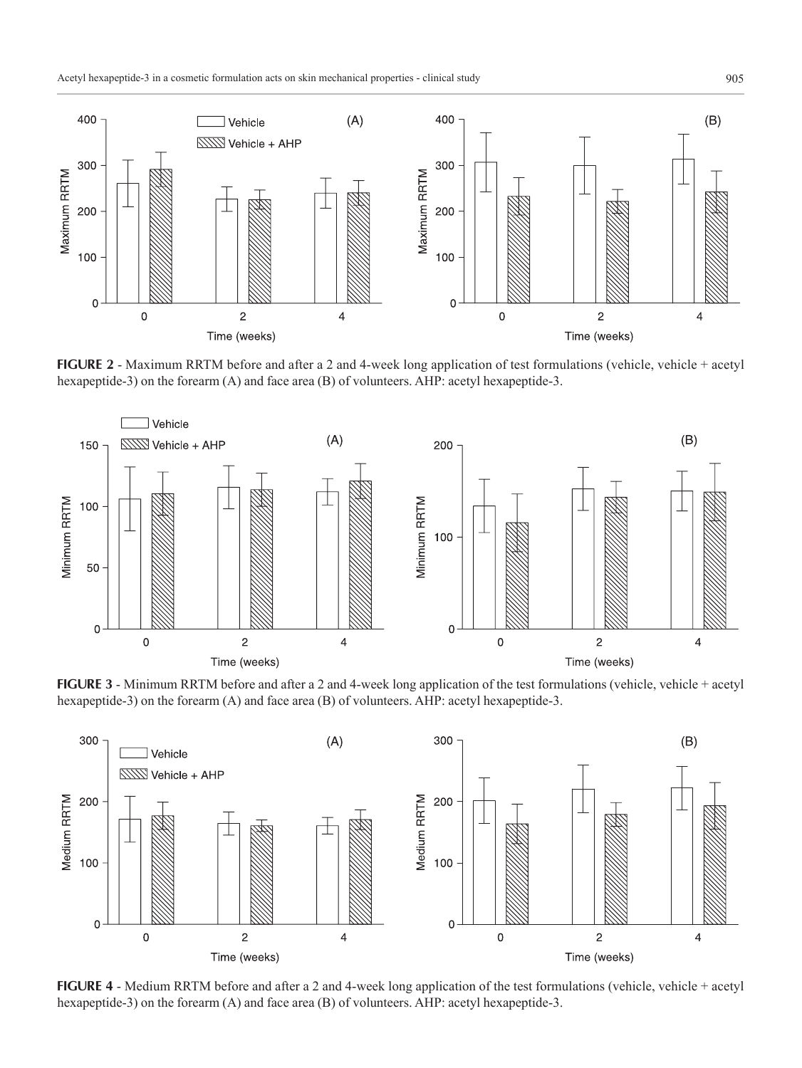Acetyl hexapeptide-3 in a cosmetic formulation acts on skin mechanical properties - clinical study 905



**FIGURE 2** - Maximum RRTM before and after a 2 and 4-week long application of test formulations (vehicle, vehicle + acetyl hexapeptide-3) on the forearm (A) and face area (B) of volunteers. AHP: acetyl hexapeptide-3.



**FIGURE 3** - Minimum RRTM before and after a 2 and 4-week long application of the test formulations (vehicle, vehicle + acetyl hexapeptide-3) on the forearm (A) and face area (B) of volunteers. AHP: acetyl hexapeptide-3.



**FIGURE 4** - Medium RRTM before and after a 2 and 4-week long application of the test formulations (vehicle, vehicle + acetyl hexapeptide-3) on the forearm (A) and face area (B) of volunteers. AHP: acetyl hexapeptide-3.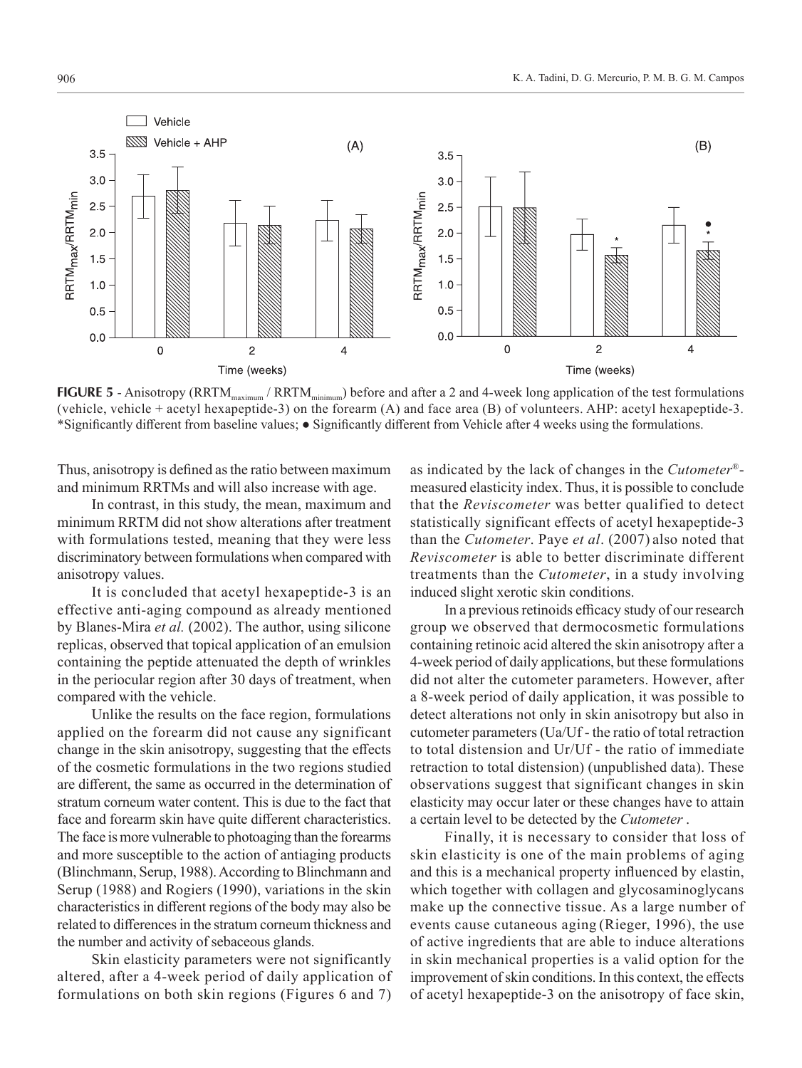

**FIGURE 5** - Anisotropy (RRTM<sub>maximum</sub> / RRTM<sub>minimum</sub>) before and after a 2 and 4-week long application of the test formulations (vehicle, vehicle + acetyl hexapeptide-3) on the forearm (A) and face area (B) of volunteers. AHP: acetyl hexapeptide-3. \*Significantly different from baseline values; ● Significantly different from Vehicle after 4 weeks using the formulations.

Thus, anisotropy is defined as the ratio between maximum and minimum RRTMs and will also increase with age.

In contrast, in this study, the mean, maximum and minimum RRTM did not show alterations after treatment with formulations tested, meaning that they were less discriminatory between formulations when compared with anisotropy values.

It is concluded that acetyl hexapeptide-3 is an effective anti-aging compound as already mentioned by Blanes-Mira *et al.* (2002). The author, using silicone replicas, observed that topical application of an emulsion containing the peptide attenuated the depth of wrinkles in the periocular region after 30 days of treatment, when compared with the vehicle.

Unlike the results on the face region, formulations applied on the forearm did not cause any significant change in the skin anisotropy, suggesting that the effects of the cosmetic formulations in the two regions studied are different, the same as occurred in the determination of stratum corneum water content. This is due to the fact that face and forearm skin have quite different characteristics. The face is more vulnerable to photoaging than the forearms and more susceptible to the action of antiaging products (Blinchmann, Serup, 1988). According to Blinchmann and Serup (1988) and Rogiers (1990), variations in the skin characteristics in different regions of the body may also be related to differences in the stratum corneum thickness and the number and activity of sebaceous glands.

Skin elasticity parameters were not significantly altered, after a 4-week period of daily application of formulations on both skin regions (Figures 6 and 7)

as indicated by the lack of changes in the *Cutometer*® measured elasticity index. Thus, it is possible to conclude that the *Reviscometer* was better qualified to detect statistically significant effects of acetyl hexapeptide-3 than the *Cutometer*. Paye *et al*. (2007) also noted that *Reviscometer* is able to better discriminate different treatments than the *Cutometer*, in a study involving induced slight xerotic skin conditions.

In a previous retinoids efficacy study of our research group we observed that dermocosmetic formulations containing retinoic acid altered the skin anisotropy after a 4-week period of daily applications, but these formulations did not alter the cutometer parameters. However, after a 8-week period of daily application, it was possible to detect alterations not only in skin anisotropy but also in cutometer parameters (Ua/Uf - the ratio of total retraction to total distension and Ur/Uf - the ratio of immediate retraction to total distension) (unpublished data). These observations suggest that significant changes in skin elasticity may occur later or these changes have to attain a certain level to be detected by the *Cutometer* .

Finally, it is necessary to consider that loss of skin elasticity is one of the main problems of aging and this is a mechanical property influenced by elastin, which together with collagen and glycosaminoglycans make up the connective tissue. As a large number of events cause cutaneous aging (Rieger, 1996), the use of active ingredients that are able to induce alterations in skin mechanical properties is a valid option for the improvement of skin conditions. In this context, the effects of acetyl hexapeptide-3 on the anisotropy of face skin,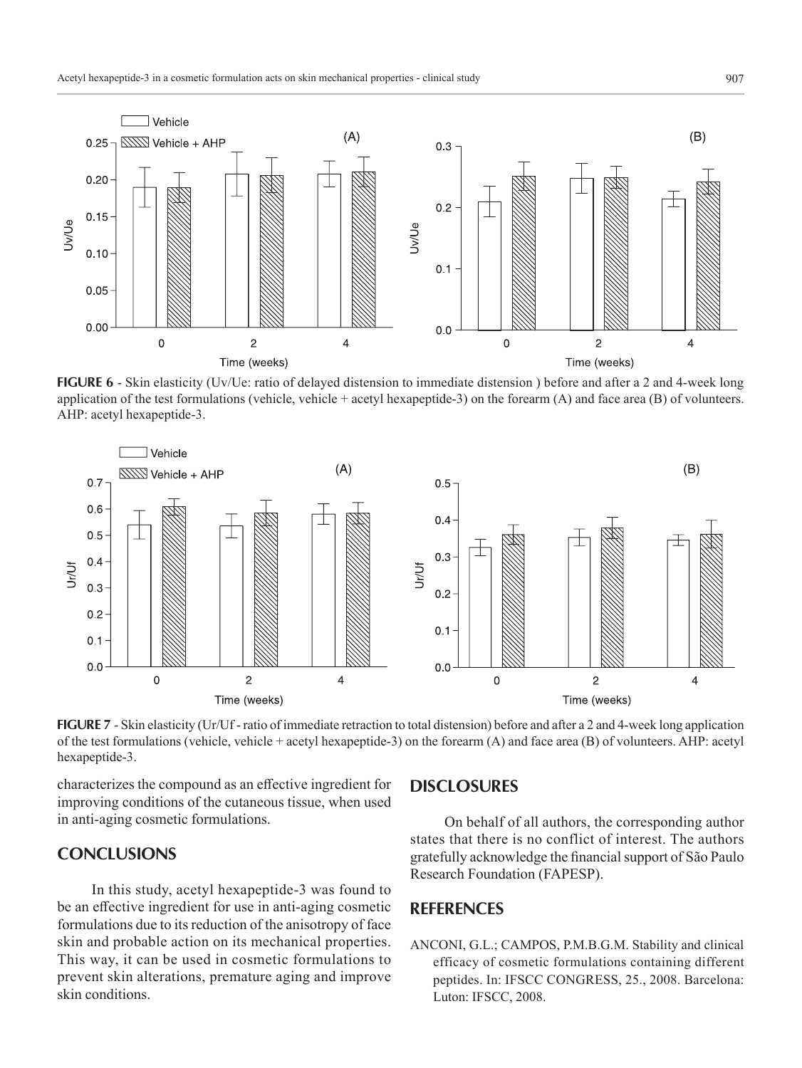

**FIGURE 6** - Skin elasticity (Uv/Ue: ratio of delayed distension to immediate distension ) before and after a 2 and 4-week long application of the test formulations (vehicle, vehicle + acetyl hexapeptide-3) on the forearm (A) and face area (B) of volunteers. AHP: acetyl hexapeptide-3.



**FIGURE 7** - Skin elasticity (Ur/Uf-ratio of immediate retraction to total distension) before and after a 2 and 4-week long application of the test formulations (vehicle, vehicle + acetyl hexapeptide-3) on the forearm (A) and face area (B) of volunteers. AHP: acetyl hexapeptide-3.

characterizes the compound as an effective ingredient for improving conditions of the cutaneous tissue, when used in anti-aging cosmetic formulations.

## **CONCLUSIONS**

In this study, acetyl hexapeptide-3 was found to be an effective ingredient for use in anti-aging cosmetic formulations due to its reduction of the anisotropy of face skin and probable action on its mechanical properties. This way, it can be used in cosmetic formulations to prevent skin alterations, premature aging and improve skin conditions.

### **DISCLOSURES**

On behalf of all authors, the corresponding author states that there is no conflict of interest. The authors gratefully acknowledge the financial support of São Paulo Research Foundation (FAPESP).

# **REFERENCES**

ANCONI, G.L.; CAMPOS, P.M.B.G.M. Stability and clinical efficacy of cosmetic formulations containing different peptides. In: IFSCC CONGRESS, 25., 2008. Barcelona: Luton: IFSCC, 2008.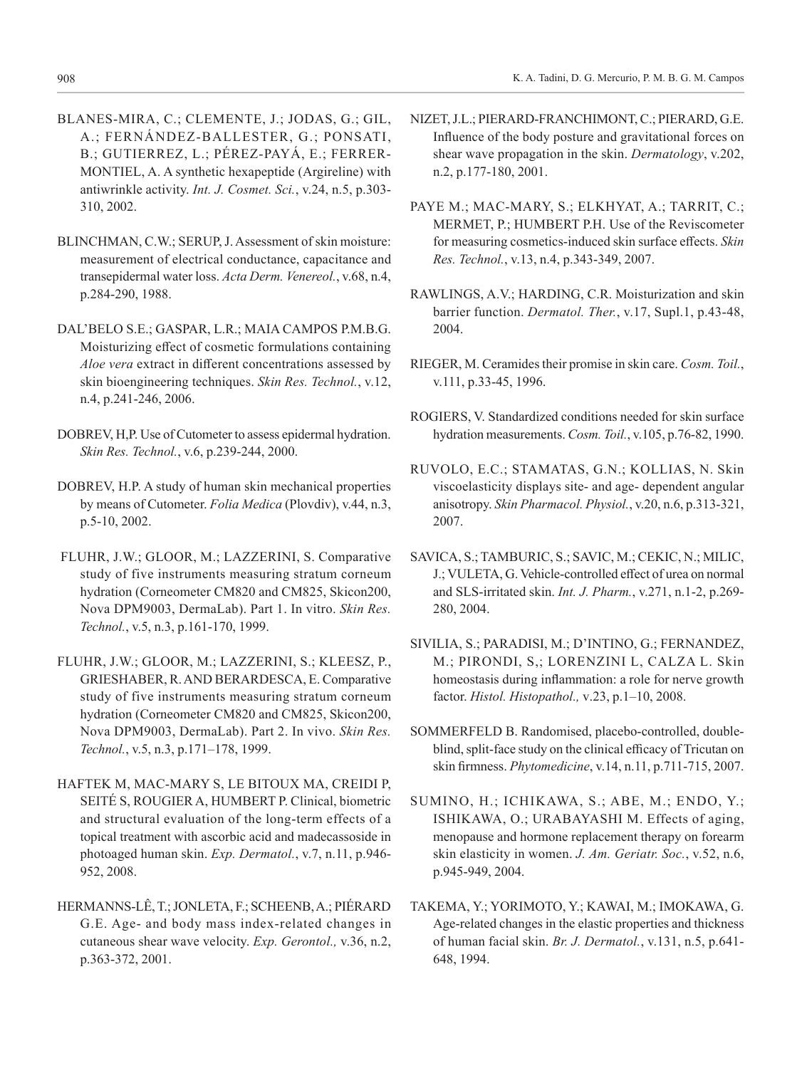- BLANES-MIRA, C.; CLEMENTE, J.; JODAS, G.; GIL, A.; FERNÁNDEZ-BALLESTER, G.; PONSATI, B.; GUTIERREZ, L.; PÉREZ-PAYÁ, E.; FERRER-MONTIEL, A. A synthetic hexapeptide (Argireline) with antiwrinkle activity. *Int. J. Cosmet. Sci.*, v.24, n.5, p.303- 310, 2002.
- BLINCHMAN, C.W.; SERUP, J. Assessment of skin moisture: measurement of electrical conductance, capacitance and transepidermal water loss. *Acta Derm. Venereol.*, v.68, n.4, p.284-290, 1988.
- DAL'BELO S.E.; GASPAR, L.R.; MAIA CAMPOS P.M.B.G. Moisturizing effect of cosmetic formulations containing *Aloe vera* extract in different concentrations assessed by skin bioengineering techniques. *Skin Res. Technol.*, v.12, n.4, p.241-246, 2006.
- DOBREV, H,P. Use of Cutometer to assess epidermal hydration. *Skin Res. Technol.*, v.6, p.239-244, 2000.
- DOBREV, H.P. A study of human skin mechanical properties by means of Cutometer. *Folia Medica* (Plovdiv), v.44, n.3, p.5-10, 2002.
- FLUHR, J.W.; GLOOR, M.; LAZZERINI, S. Comparative study of five instruments measuring stratum corneum hydration (Corneometer CM820 and CM825, Skicon200, Nova DPM9003, DermaLab). Part 1. In vitro. *Skin Res. Technol.*, v.5, n.3, p.161-170, 1999.
- FLUHR, J.W.; GLOOR, M.; LAZZERINI, S.; KLEESZ, P., GRIESHABER, R. AND BERARDESCA, E. Comparative study of five instruments measuring stratum corneum hydration (Corneometer CM820 and CM825, Skicon200, Nova DPM9003, DermaLab). Part 2. In vivo. *Skin Res. Technol.*, v.5, n.3, p.171–178, 1999.
- HAFTEK M, MAC-MARY S, LE BITOUX MA, CREIDI P, SEITÉ S, ROUGIER A, HUMBERT P. Clinical, biometric and structural evaluation of the long-term effects of a topical treatment with ascorbic acid and madecassoside in photoaged human skin. *Exp. Dermatol.*, v.7, n.11, p.946- 952, 2008.
- HERMANNS-LÊ, T.; JONLETA, F.; SCHEENB, A.; PIÉRARD G.E. Age- and body mass index-related changes in cutaneous shear wave velocity. *Exp. Gerontol.,* v.36, n.2, p.363-372, 2001.
- NIZET, J.L.; PIERARD-FRANCHIMONT, C.; PIERARD, G.E. Influence of the body posture and gravitational forces on shear wave propagation in the skin. *Dermatology*, v.202, n.2, p.177-180, 2001.
- PAYE M.; MAC-MARY, S.; ELKHYAT, A.; TARRIT, C.; MERMET, P.; HUMBERT P.H. Use of the Reviscometer for measuring cosmetics-induced skin surface effects. *Skin Res. Technol.*, v.13, n.4, p.343-349, 2007.
- RAWLINGS, A.V.; HARDING, C.R. Moisturization and skin barrier function. *Dermatol. Ther.*, v.17, Supl.1, p.43-48, 2004.
- RIEGER, M. Ceramides their promise in skin care. *Cosm. Toil.*, v.111, p.33-45, 1996.
- ROGIERS, V. Standardized conditions needed for skin surface hydration measurements. *Cosm. Toil.*, v.105, p.76-82, 1990.
- RUVOLO, E.C.; STAMATAS, G.N.; KOLLIAS, N. Skin viscoelasticity displays site- and age- dependent angular anisotropy. *Skin Pharmacol. Physiol.*, v.20, n.6, p.313-321, 2007.
- SAVICA, S.; TAMBURIC, S.; SAVIC, M.; CEKIC, N.; MILIC, J.; VULETA, G. Vehicle-controlled effect of urea on normal and SLS-irritated skin. *Int. J. Pharm.*, v.271, n.1-2, p.269- 280, 2004.
- SIVILIA, S.; PARADISI, M.; D'INTINO, G.; FERNANDEZ, M.; PIRONDI, S,; LORENZINI L, CALZA L. Skin homeostasis during inflammation: a role for nerve growth factor. *Histol. Histopathol.,* v.23, p.1–10, 2008.
- SOMMERFELD B. Randomised, placebo-controlled, doubleblind, split-face study on the clinical efficacy of Tricutan on skin firmness. *Phytomedicine*, v.14, n.11, p.711-715, 2007.
- SUMINO, H.; ICHIKAWA, S.; ABE, M.; ENDO, Y.; ISHIKAWA, O.; URABAYASHI M. Effects of aging, menopause and hormone replacement therapy on forearm skin elasticity in women. *J. Am. Geriatr. Soc.*, v.52, n.6, p.945-949, 2004.
- TAKEMA, Y.; YORIMOTO, Y.; KAWAI, M.; IMOKAWA, G. Age-related changes in the elastic properties and thickness of human facial skin. *Br. J. Dermatol.*, v.131, n.5, p.641- 648, 1994.